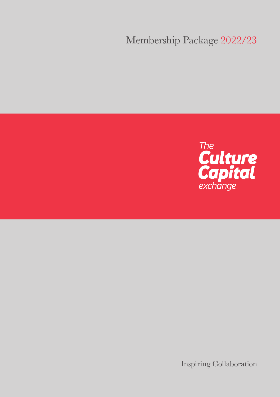# Membership Package 2022/23



Inspiring Collaboration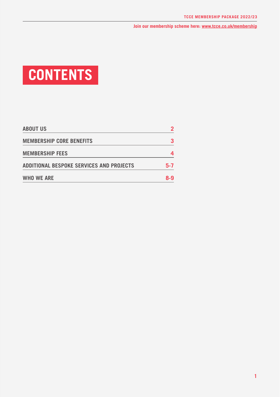# **CONTENTS**

| <b>ABOUT US</b>                          |     |
|------------------------------------------|-----|
| <b>MEMBERSHIP CORE BENEFITS</b>          |     |
| <b>MEMBERSHIP FEES</b>                   |     |
| ADDITIONAL BESPOKE SERVICES AND PROJECTS | 5-7 |
| <b>WHO WE ARE</b>                        | 8-9 |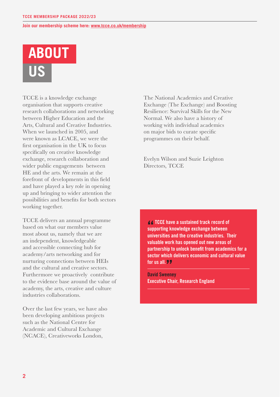

TCCE is a knowledge exchange organisation that supports creative research collaborations and networking between Higher Education and the Arts, Cultural and Creative Industries. When we launched in 2005, and were known as LCACE, we were the first organisation in the UK to focus specifically on creative knowledge exchange, research collaboration and wider public engagements between HE and the arts. We remain at the forefront of developments in this field and have played a key role in opening up and bringing to wider attention the possibilities and benefits for both sectors working together.

TCCE delivers an annual programme based on what our members value most about us, namely that we are an independent, knowledgeable and accessible connecting hub for academy/arts networking and for nurturing connections between HEIs and the cultural and creative sectors. Furthermore we proactively contribute to the evidence base around the value of academy, the arts, creative and culture industries collaborations.

Over the last few years, we have also been developing ambitious projects such as the National Centre for Academic and Cultural Exchange (NCACE), Creativeworks London,

The National Academics and Creative Exchange (The Exchange) and Boosting Resilience: Survival Skills for the New Normal. We also have a history of working with individual academics on major bids to curate specific programmes on their behalf.

Evelyn Wilson and Suzie Leighton Directors, TCCE

**TCCE have a sustained track record of supporting knowledge exchange between universities and the creative industries. Their valuable work has opened out new areas of partnership to unlock benefit from academics for a sector which delivers economic and cultural value for us all.**

**David Sweeney Executive Chair, Research England**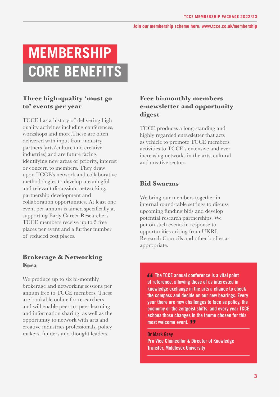# **MEMBERSHIP CORE BENEFITS**

# **Three high-quality 'must go to' events per year**

TCCE has a history of delivering high quality activities including conferences, workshops and more.These are often delivered with input from industry partners (arts/culture and creative industries) and are future facing, identifying new areas of priority, interest or concern to members. They draw upon TCCE's network and collaborative methodologies to develop meaningful and relevant discussion, networking, partnership development and collaboration opportunities. At least one event per annum is aimed specifically at supporting Early Career Researchers. TCCE members receive up to 5 free places per event and a further number of reduced cost places.

## **Brokerage & Networking Fora**

We produce up to six bi-monthly brokerage and networking sessions per annum free to TCCE members. These are bookable online for researchers and will enable peer-to- peer learning and information sharing as well as the opportunity to network with arts and creative industries professionals, policy makers, funders and thought leaders.

### **Free bi-monthly members e-newsletter and opportunity digest**

TCCE produces a long-standing and highly regarded enewsletter that acts as vehicle to promote TCCE members activities to TCCE's extensive and ever increasing networks in the arts, cultural and creative sectors.

### **Bid Swarms**

We bring our members together in internal round-table settings to discuss upcoming funding bids and develop potential research partnerships. We put on such events in response to opportunities arising from UKRI, Research Councils and other bodies as appropriate.

**The TCCE annual conference is a vital point of reference, allowing those of us interested in knowledge exchange in the arts a chance to check the compass and decide on our new bearings. Every year there are new challenges to face as policy, the economy or the zeitgeist shifts, and every year TCCE echoes those changes in the theme chosen for this most welcome event.** 

**Dr Mark Grey Pro Vice Chancellor & Director of Knowledge Transfer, Middlesex University**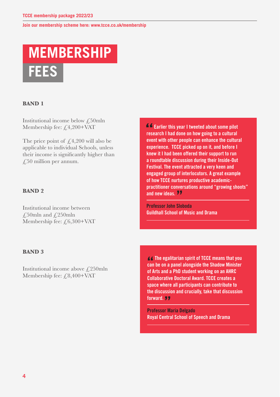# **MEMBERSHIP FEES**

#### **BAND 1**

Institutional income below £50mln Membership fee: £4,200+VAT

The price point of  $\angle 4,200$  will also be applicable to individual Schools, unless their income is significantly higher than  $\angle$  50 million per annum.

#### **BAND 2**

Institutional income between £50mln and  $£250$ mln Membership fee:  $f(6,300+\text{VAT})$  **Earlier this year I tweeted about some pilot research I had done on how going to a cultural event with other people can enhance the cultural experience. TCCE picked up on it, and before I knew it I had been offered their support to run a roundtable discussion during their Inside-Out Festival. The event attracted a very keen and engaged group of interlocutors. A great example of how TCCE nurtures productive academicpractitioner conversations around "growing shoots" and new ideas.**

**Professor John Sloboda Guildhall School of Music and Drama**

#### **BAND 3**

Institutional income above  $\sqrt{250}$ mln Membership fee: £8,400+VAT

**The egalitarian spirit of TCCE means that you can be on a panel alongside the Shadow Minister of Arts and a PhD student working on an AHRC Collaborative Doctoral Award. TCCE creates a space where all participants can contribute to the discussion and crucially, take that discussion forward.** 

**Professor Maria Delgado Royal Central School of Speech and Drama**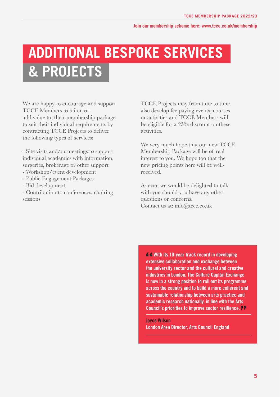# **ADDITIONAL BESPOKE SERVICES & PROJECTS**

We are happy to encourage and support TCCE Members to tailor, or add value to, their membership package to suit their individual requirements by contracting TCCE Projects to deliver the following types of services:

- Site visits and/or meetings to support individual academics with information, surgeries, brokerage or other support - Workshop/event development

- 
- Public Engagement Packages
- Bid development

- Contribution to conferences, chairing sessions

TCCE Projects may from time to time also develop fee paying events, courses or activities and TCCE Members will be eligible for a 25% discount on these activities.

We very much hope that our new TCCE Membership Package will be of real interest to you. We hope too that the new pricing points here will be wellreceived.

As ever, we would be delighted to talk with you should you have any other questions or concerns. Contact us at: info@tcce.co.uk

**With its 10-year track record in developing extensive collaboration and exchange between the university sector and the cultural and creative industries in London, The Culture Capital Exchange is now in a strong position to roll out its programme across the country and to build a more coherent and sustainable relationship between arts practice and academic research nationally, in line with the Arts Council's priorities to improve sector resilience.** 

**Joyce Wilson London Area Director, Arts Council England**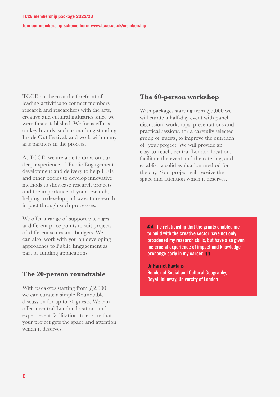TCCE has been at the forefront of leading activities to connect members research and researchers with the arts, creative and cultural industries since we were first established. We focus efforts on key brands, such as our long standing Inside Out Festival, and work with many arts partners in the process.

At TCCE, we are able to draw on our deep experience of Public Engagement development and delivery to help HEIs and other bodies to develop innovative methods to showcase research projects and the importance of your research, helping to develop pathways to research impact through such processses.

We offer a range of support packages at different price points to suit projects of different scales and budgets. We can also work with you on developing approaches to Public Engagement as part of funding applications.

### **The 20-person roundtable**

With pacakges starting from  $\text{\textsterling}2,000$ we can curate a simple Roundtable discussion for up to 20 guests. We can offer a central London location, and expert event facilitation, to ensure that your project gets the space and attention which it deserves.

#### **The 60-person workshop**

With packages starting from  $\text{\textsterling}5,000$  we will curate a half-day event with panel discussion, workshops, presentations and practical sessions, for a carefully selected group of guests, to improve the outreach of your project. We will provide an easy-to-reach, central London location, facilitate the event and the catering, and establish a solid evaluation method for the day. Your project will receive the space and attention which it deserves.

**The relationship that the grants enabled me to build with the creative sector have not only broadened my research skills, but have also given me crucial experience of impact and knowledge exchange early in my career.** 

**Dr Harriet Hawkins Reader of Social and Cultural Geography, Royal Holloway, University of London**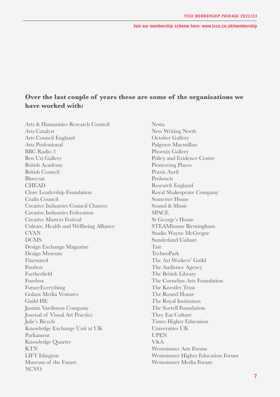# **Over the last couple of years these are some of the organisations we have worked with:**

Arts & Humanities Research Council Arts Catalyst Arts Council England Arts Professional BBC Radio 3 Ben Uri Gallery British Academy British Council Bluecoat CHEAD Clore Leadership Foundation Crafts Council Creative Industries Council Clusters Creative Industries Federation Creative Matters Festival Culture, Health and Wellbeing Alliance CVAN DCMS Design Exchange Magazine Design Museum Finetuned Fossbox Furtherfield Fusebox FutureEverything Golant Media Ventures Guild HE Jasmin Vardimon Company Journal of Visual Art Practice Julie's Bicycle Knowledge Exchange Unit at UK Parliament Knowledge Quarter **KTN** LIFT Islington Museum of the Future **NCVO** 

Nesta New Writing North October Gallery Palgrave Macmillan Phoenix Gallery Policy and Evidence Centre Pioneering Places Praxis Auril Proboscis Research England Royal Shakespeare Company Somerset House Sound & Music **SPACE** St George's House STEAMhouse Birmingham Studio Wayne McGregor Sunderland Culture Tate TechnoPark The Art Workers' Guild The Audience Agency The British Library The Cornelius Arts Foundation The Koestler Trust The Round House The Royal Institution The Sorrell Foundation They Eat Culture Times Higher Education Universities UK **UPEN** V&A Westminster Arts Forum Westminster Higher Education Forum Westminster Media Forum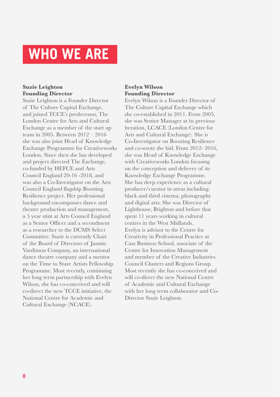# **WHO WE ARE**

### **Suzie Leighton Founding Director**

Suzie Leighton is a Founder Director of The Culture Capital Exchange, and joined TCCE's predecessor, The London Centre for Arts and Cultural Exchange as a member of the start up team in 2005. Between 2012 – 2016 she was also joint Head of Knowledge Exchange Programme for Creativeworks London. Since then she has developed and project directed The Exchange, co-funded by HEFCE and Arts Council England 20-16 -2018, and was also a Co-Investigator on the Arts Council England flagship Boosting Resilience project. Her professional background encompasses dance and theatre production and management, a 5 year stint at Arts Council England as a Senior Officer and a secondment as a researcher to the DCMS Select Committee. Suzie is currently Chair of the Board of Directors of Jasmin Vardimon Company, an international dance theatre company and a mentor on the Time to Stare Artists Fellowship Programme. Most recently, continuing her long term partnership with Evelyn Wilson, she has co-conceived and will co-direct the new TCCE initiative, the National Centre for Academic and Cultural Exchange (NCACE).

### **Evelyn Wilson Founding Director**

Evelyn Wilson is a Founder Director of The Culture Capital Exchange which she co-established in 2011. From 2005, she was Senior Manager at its previous iteration, LCACE (London Centre for Arts and Cultural Exchange). She is Co-Investigator on Boosting Resilience and co-wrote the bid. From 2012- 2016, she was Head of Knowledge Exchange with Creativeworks London focusing on the conception and delivery of its Knowledge Exchange Programme. She has deep experience as a cultural producer/curator in areas including: black and third cinema, photography and digital arts. She was Director of Lighthouse, Brighton and before that spent 11 years working in cultural centres in the West Midlands. Evelyn is advisor to the Centre for Creativity in Professional Practice at Cass Business School, associate of the Centre for Innovation Management and member of the Creative Industries Council Clusters and Regions Group. Most recently she has co-conceived and will co-direct the new National Centre of Academic and Cultural Exchange with her long term collaborator and Co-Director Suzie Leighton.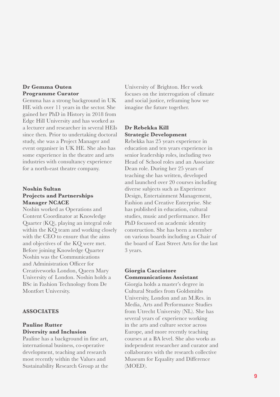#### **Dr Gemma Outen Programme Curator**

Gemma has a strong background in UK HE with over 11 years in the sector. She gained her PhD in History in 2018 from Edge Hill University and has worked as a lecturer and researcher in several HEIs since then. Prior to undertaking doctoral study, she was a Project Manager and event organiser in UK HE. She also has some experience in the theatre and arts industries with consultancy experience for a north-east theatre company.

#### **Noshin Sultan Projects and Partnerships Manager NCACE**

Noshin worked as Operations and Content Coordinator at Knowledge Quarter (KQ), playing an integral role within the KQ team and working closely with the CEO to ensure that the aims and objectives of the KQ were met. Before joining Knowledge Quarter Noshin was the Communications and Administration Officer for Creativeworks London, Queen Mary University of London. Noshin holds a BSc in Fashion Technology from De Montfort University.

### **ASSOCIATES**

#### **Pauline Rutter Diversity and Inclusion**

Pauline has a background in fine art, international business, co-operative development, teaching and research most recently within the Values and Sustainability Research Group at the

University of Brighton. Her work focuses on the interrogation of climate and social justice, reframing how we imagine the future together.

### **Dr Rebekka Kill Strategic Development**

Rebekka has 25 years experience in education and ten years experience in senior leadership roles, including two Head of School roles and an Associate Dean role. During her 25 years of teaching she has written, developed and launched over 20 courses including diverse subjects such as Experience Design, Entertainment Management, Fashion and Creative Enterprise. She has published in education, cultural studies, music and performance. Her PhD focussed on academic identity construction. She has been a member on various boards including as Chair of the board of East Street Arts for the last 3 years.

#### **Giorgia Cacciatore Communications Assistant**

Giorgia holds a master's degree in Cultural Studies from Goldsmiths University, London and an M.Res. in Media, Arts and Performance Studies from Utrecht University (NL). She has several years of experience working in the arts and culture sector across Europe, and more recently teaching courses at a BA level. She also works as independent researcher and curator and collaborates with the research collective Museum for Equality and Difference (MOED).